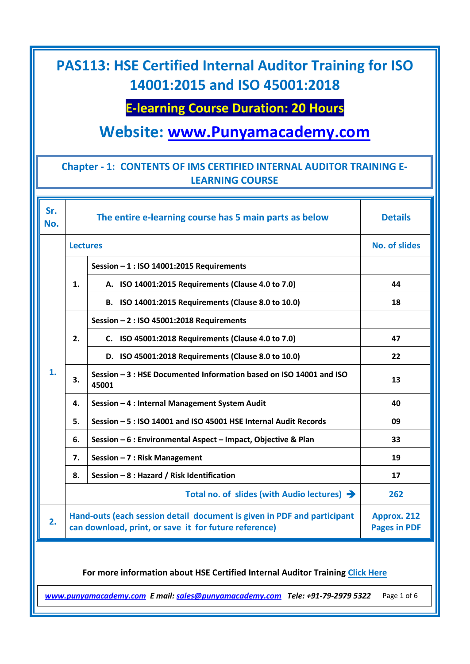## **E-learning Course Duration: 20 Hours**

# **Website: [www.Punyamacademy.com](http://www.punyamacademy.com/)**

### **Chapter - 1: CONTENTS OF IMS CERTIFIED INTERNAL AUDITOR TRAINING E-LEARNING COURSE**

| Sr.<br>No.                                                                    |                                                         | The entire e-learning course has 5 main parts as below                                                                           | <b>Details</b>                     |  |
|-------------------------------------------------------------------------------|---------------------------------------------------------|----------------------------------------------------------------------------------------------------------------------------------|------------------------------------|--|
|                                                                               | <b>Lectures</b>                                         |                                                                                                                                  | <b>No. of slides</b>               |  |
|                                                                               | 1.                                                      | Session - 1 : ISO 14001:2015 Requirements                                                                                        |                                    |  |
|                                                                               |                                                         | A. ISO 14001:2015 Requirements (Clause 4.0 to 7.0)                                                                               | 44                                 |  |
| 1.                                                                            |                                                         | B. ISO 14001:2015 Requirements (Clause 8.0 to 10.0)                                                                              | 18                                 |  |
|                                                                               | 2.                                                      | Session - 2 : ISO 45001:2018 Requirements                                                                                        |                                    |  |
|                                                                               |                                                         | C. ISO 45001:2018 Requirements (Clause 4.0 to 7.0)                                                                               | 47                                 |  |
|                                                                               |                                                         | D. ISO 45001:2018 Requirements (Clause 8.0 to 10.0)                                                                              | 22                                 |  |
|                                                                               | 3.                                                      | Session - 3 : HSE Documented Information based on ISO 14001 and ISO<br>45001                                                     | 13                                 |  |
|                                                                               | 4.                                                      | Session - 4 : Internal Management System Audit                                                                                   | 40                                 |  |
|                                                                               | 5.                                                      | Session - 5: ISO 14001 and ISO 45001 HSE Internal Audit Records                                                                  | 09                                 |  |
|                                                                               | 6.                                                      | Session - 6 : Environmental Aspect - Impact, Objective & Plan                                                                    | 33                                 |  |
|                                                                               | 7.                                                      | Session - 7 : Risk Management                                                                                                    | 19                                 |  |
|                                                                               | 8.                                                      | Session - 8 : Hazard / Risk Identification                                                                                       | 17                                 |  |
|                                                                               | Total no. of slides (with Audio lectures) $\rightarrow$ |                                                                                                                                  | 262                                |  |
| 2.                                                                            |                                                         | Hand-outs (each session detail document is given in PDF and participant<br>can download, print, or save it for future reference) | Approx. 212<br><b>Pages in PDF</b> |  |
| For more information about HSE Certified Internal Auditor Training Click Here |                                                         |                                                                                                                                  |                                    |  |

*[www.punyamacademy.com](https://www.punyamacademy.com/) E mail[: sales@punyamacademy.com](mailto:sales@punyamacademy.com) Tele: +91-79-2979 5322* Page 1 of 6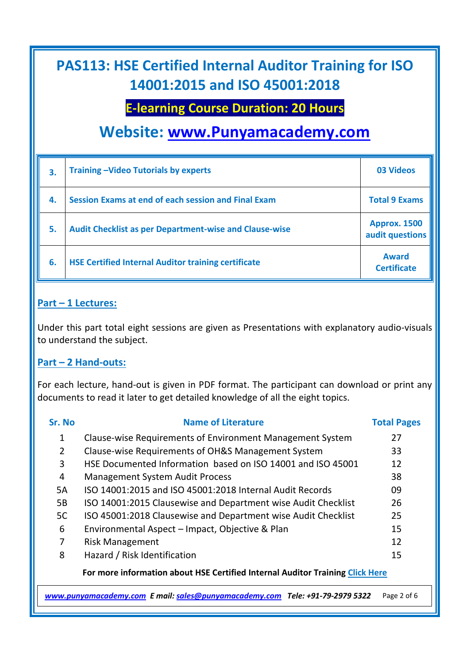### **E-learning Course Duration: 20 Hours**

## **Website: [www.Punyamacademy.com](http://www.punyamacademy.com/)**

| 3.  | <b>Training-Video Tutorials by experts</b>                    | <b>03 Videos</b>                       |
|-----|---------------------------------------------------------------|----------------------------------------|
| -4. | Session Exams at end of each session and Final Exam           | <b>Total 9 Exams</b>                   |
| 5.  | <b>Audit Checklist as per Department-wise and Clause-wise</b> | <b>Approx. 1500</b><br>audit questions |
| 6.  | <b>HSE Certified Internal Auditor training certificate</b>    | <b>Award</b><br><b>Certificate</b>     |

#### **Part – 1 Lectures:**

Under this part total eight sessions are given as Presentations with explanatory audio-visuals to understand the subject.

#### **Part – 2 Hand-outs:**

For each lecture, hand-out is given in PDF format. The participant can download or print any documents to read it later to get detailed knowledge of all the eight topics.

| Sr. No                                                                        | <b>Name of Literature</b>                                     | <b>Total Pages</b> |  |  |
|-------------------------------------------------------------------------------|---------------------------------------------------------------|--------------------|--|--|
| 1                                                                             | Clause-wise Requirements of Environment Management System     | 27                 |  |  |
| 2                                                                             | Clause-wise Requirements of OH&S Management System            | 33                 |  |  |
| 3                                                                             | HSE Documented Information based on ISO 14001 and ISO 45001   | 12                 |  |  |
| 4                                                                             | <b>Management System Audit Process</b>                        | 38                 |  |  |
| 5A                                                                            | ISO 14001:2015 and ISO 45001:2018 Internal Audit Records      | 09                 |  |  |
| 5B                                                                            | ISO 14001:2015 Clausewise and Department wise Audit Checklist | 26                 |  |  |
| 5C                                                                            | ISO 45001:2018 Clausewise and Department wise Audit Checklist | 25                 |  |  |
| 6                                                                             | Environmental Aspect - Impact, Objective & Plan               | 15                 |  |  |
| 7                                                                             | <b>Risk Management</b>                                        | 12                 |  |  |
| 8                                                                             | Hazard / Risk Identification                                  | 15                 |  |  |
| For more information about HSE Certified Internal Auditor Training Click Here |                                                               |                    |  |  |

*[www.punyamacademy.com](https://www.punyamacademy.com/) E mail[: sales@punyamacademy.com](mailto:sales@punyamacademy.com) Tele: +91-79-2979 5322* Page 2 of 6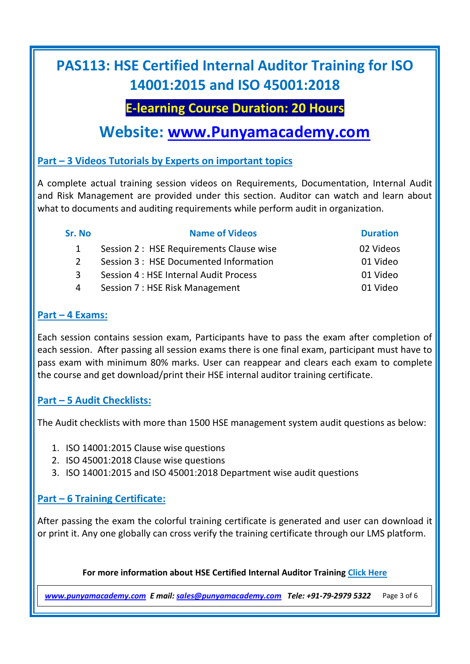### **E-learning Course Duration: 20 Hours**

## **Website: [www.Punyamacademy.com](http://www.punyamacademy.com/)**

### **Part – 3 Videos Tutorials by Experts on important topics**

A complete actual training session videos on Requirements, Documentation, Internal Audit and Risk Management are provided under this section. Auditor can watch and learn about what to documents and auditing requirements while perform audit in organization.

| Sr. No | <b>Name of Videos</b>                    | <b>Duration</b> |
|--------|------------------------------------------|-----------------|
|        | Session 2 : HSE Requirements Clause wise | 02 Videos       |
| 2      | Session 3 : HSE Documented Information   | 01 Video        |
| 3      | Session 4 : HSE Internal Audit Process   | 01 Video        |
| 4      | Session 7 : HSE Risk Management          | 01 Video        |
|        |                                          |                 |

#### **Part – 4 Exams:**

Each session contains session exam, Participants have to pass the exam after completion of each session. After passing all session exams there is one final exam, participant must have to pass exam with minimum 80% marks. User can reappear and clears each exam to complete the course and get download/print their HSE internal auditor training certificate.

### **Part – 5 Audit Checklists:**

The Audit checklists with more than 1500 HSE management system audit questions as below:

- 1. ISO 14001:2015 Clause wise questions
- 2. ISO 45001:2018 Clause wise questions
- 3. ISO 14001:2015 and ISO 45001:2018 Department wise audit questions

### **Part – 6 Training Certificate:**

After passing the exam the colorful training certificate is generated and user can download it or print it. Any one globally can cross verify the training certificate through our LMS platform.

#### **For more information about HSE Certified Internal Auditor Training [Click Here](https://www.punyamacademy.com/course/hse/hse-certified-internal-auditor-training)**

*[www.punyamacademy.com](https://www.punyamacademy.com/) E mail[: sales@punyamacademy.com](mailto:sales@punyamacademy.com) Tele: +91-79-2979 5322* Page 3 of 6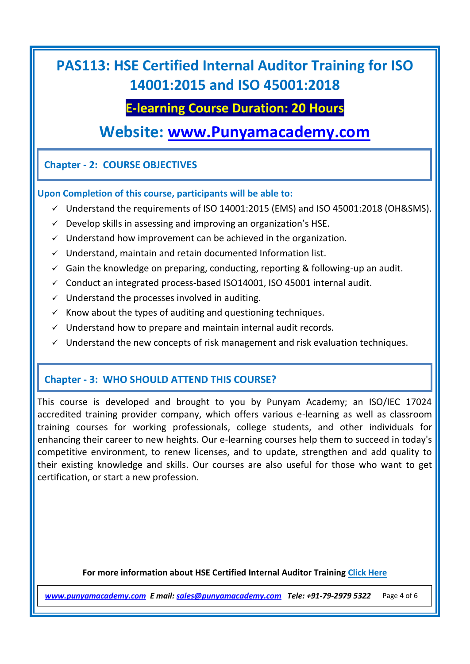### **E-learning Course Duration: 20 Hours**

## **Website: [www.Punyamacademy.com](http://www.punyamacademy.com/)**

### **Chapter - 2: COURSE OBJECTIVES**

#### **Upon Completion of this course, participants will be able to:**

- $\checkmark$  Understand the requirements of ISO 14001:2015 (EMS) and ISO 45001:2018 (OH&SMS).
- $\checkmark$  Develop skills in assessing and improving an organization's HSE.
- $\checkmark$  Understand how improvement can be achieved in the organization.
- $\checkmark$  Understand, maintain and retain documented Information list.
- $\checkmark$  Gain the knowledge on preparing, conducting, reporting & following-up an audit.
- $\checkmark$  Conduct an integrated process-based ISO14001, ISO 45001 internal audit.
- $\checkmark$  Understand the processes involved in auditing.
- $\checkmark$  Know about the types of auditing and questioning techniques.
- $\checkmark$  Understand how to prepare and maintain internal audit records.
- $\checkmark$  Understand the new concepts of risk management and risk evaluation techniques.

### **Chapter - 3: WHO SHOULD ATTEND THIS COURSE?**

This course is developed and brought to you by Punyam Academy; an ISO/IEC 17024 accredited training provider company, which offers various e-learning as well as classroom training courses for working professionals, college students, and other individuals for enhancing their career to new heights. Our e-learning courses help them to succeed in today's competitive environment, to renew licenses, and to update, strengthen and add quality to their existing knowledge and skills. Our courses are also useful for those who want to get certification, or start a new profession.

**For more information about HSE Certified Internal Auditor Training [Click Here](https://www.punyamacademy.com/course/hse/hse-certified-internal-auditor-training)**

*[www.punyamacademy.com](https://www.punyamacademy.com/) E mail[: sales@punyamacademy.com](mailto:sales@punyamacademy.com) Tele: +91-79-2979 5322* Page 4 of 6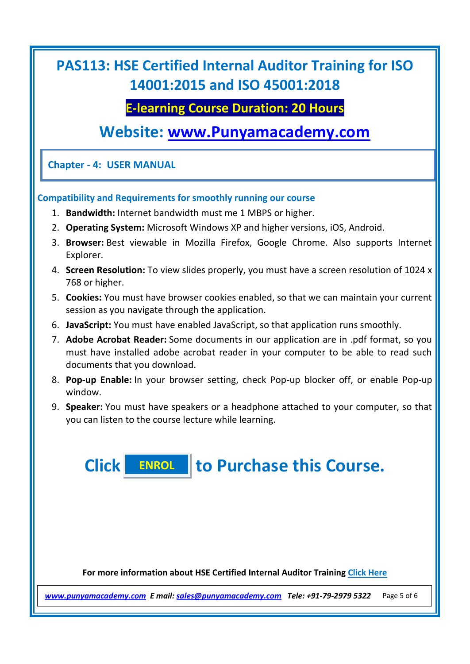### **E-learning Course Duration: 20 Hours**

## **Website: [www.Punyamacademy.com](http://www.punyamacademy.com/)**

**Chapter - 4: USER MANUAL**

#### **Compatibility and Requirements for smoothly running our course**

- 1. **Bandwidth:** Internet bandwidth must me 1 MBPS or higher.
- 2. **Operating System:** Microsoft Windows XP and higher versions, iOS, Android.
- 3. **Browser:** Best viewable in Mozilla Firefox, Google Chrome. Also supports Internet Explorer.
- 4. **Screen Resolution:** To view slides properly, you must have a screen resolution of 1024 x 768 or higher.
- 5. **Cookies:** You must have browser cookies enabled, so that we can maintain your current session as you navigate through the application.
- 6. **JavaScript:** You must have enabled JavaScript, so that application runs smoothly.
- 7. **Adobe Acrobat Reader:** Some documents in our application are in .pdf format, so you must have installed adobe acrobat reader in your computer to be able to read such documents that you download.
- 8. **Pop-up Enable:** In your browser setting, check Pop-up blocker off, or enable Pop-up window.
- 9. **Speaker:** You must have speakers or a headphone attached to your computer, so that you can listen to the course lecture while learning.

**Click to Purchase this Course. [ENROL](https://www.punyamacademy.com/book/hse-certified-internal-auditor-training)**

**For more information about HSE Certified Internal Auditor Training [Click Here](https://www.punyamacademy.com/course/hse/hse-certified-internal-auditor-training)**

*[www.punyamacademy.com](https://www.punyamacademy.com/) E mail[: sales@punyamacademy.com](mailto:sales@punyamacademy.com) Tele: +91-79-2979 5322* Page 5 of 6